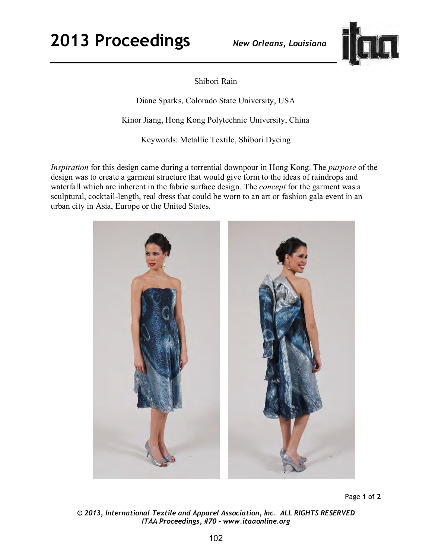

Shibori Rain

Diane Sparks, Colorado State University, USA

Kinor Jiang, Hong Kong Polytechnic University, China

Keywords: Metallic Textile, Shibori Dyeing

*Inspiration* for this design came during a torrential downpour in Hong Kong. The *purpose* of the design was to create a garment structure that would give form to the ideas of raindrops and waterfall which are inherent in the fabric surface design. The *concept* for the garment was a sculptural, cocktail-length, real dress that could be worn to an art or fashion gala event in an urban city in Asia, Europe or the United States.



Page **1** of **2** 

*© 2013, International Textile and Apparel Association, Inc. ALL RIGHTS RESERVED ITAA Proceedings, #70 – www.itaaonline.org*